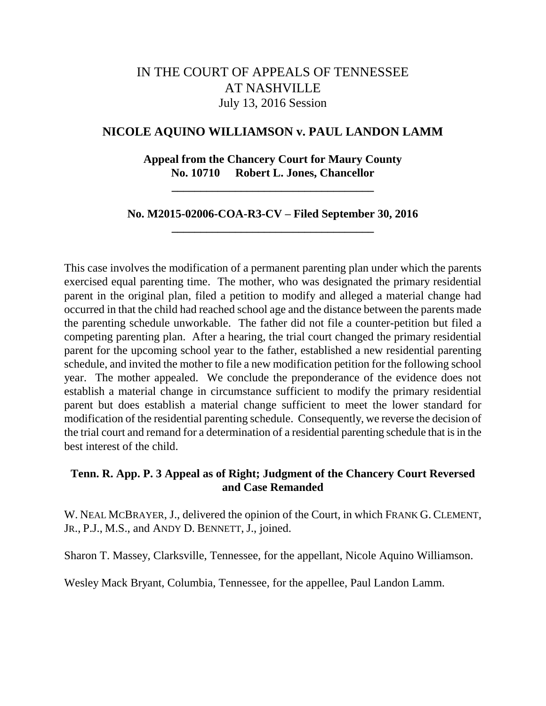# IN THE COURT OF APPEALS OF TENNESSEE AT NASHVILLE July 13, 2016 Session

### **NICOLE AQUINO WILLIAMSON v. PAUL LANDON LAMM**

**Appeal from the Chancery Court for Maury County No. 10710 Robert L. Jones, Chancellor**

**\_\_\_\_\_\_\_\_\_\_\_\_\_\_\_\_\_\_\_\_\_\_\_\_\_\_\_\_\_\_\_\_\_\_\_**

**No. M2015-02006-COA-R3-CV – Filed September 30, 2016 \_\_\_\_\_\_\_\_\_\_\_\_\_\_\_\_\_\_\_\_\_\_\_\_\_\_\_\_\_\_\_\_\_\_\_**

This case involves the modification of a permanent parenting plan under which the parents exercised equal parenting time. The mother, who was designated the primary residential parent in the original plan, filed a petition to modify and alleged a material change had occurred in that the child had reached school age and the distance between the parents made the parenting schedule unworkable. The father did not file a counter-petition but filed a competing parenting plan. After a hearing, the trial court changed the primary residential parent for the upcoming school year to the father, established a new residential parenting schedule, and invited the mother to file a new modification petition for the following school year. The mother appealed. We conclude the preponderance of the evidence does not establish a material change in circumstance sufficient to modify the primary residential parent but does establish a material change sufficient to meet the lower standard for modification of the residential parenting schedule. Consequently, we reverse the decision of the trial court and remand for a determination of a residential parenting schedule that is in the best interest of the child.

## **Tenn. R. App. P. 3 Appeal as of Right; Judgment of the Chancery Court Reversed and Case Remanded**

W. NEAL MCBRAYER, J., delivered the opinion of the Court, in which FRANK G. CLEMENT, JR., P.J., M.S., and ANDY D. BENNETT, J., joined.

Sharon T. Massey, Clarksville, Tennessee, for the appellant, Nicole Aquino Williamson.

Wesley Mack Bryant, Columbia, Tennessee, for the appellee, Paul Landon Lamm.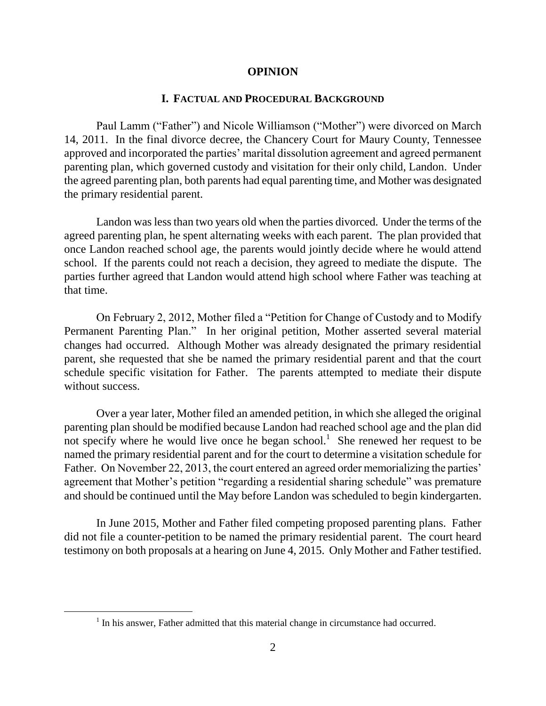#### **OPINION**

### **I. FACTUAL AND PROCEDURAL BACKGROUND**

Paul Lamm ("Father") and Nicole Williamson ("Mother") were divorced on March 14, 2011. In the final divorce decree, the Chancery Court for Maury County, Tennessee approved and incorporated the parties' marital dissolution agreement and agreed permanent parenting plan, which governed custody and visitation for their only child, Landon. Under the agreed parenting plan, both parents had equal parenting time, and Mother was designated the primary residential parent.

Landon was less than two years old when the parties divorced. Under the terms of the agreed parenting plan, he spent alternating weeks with each parent. The plan provided that once Landon reached school age, the parents would jointly decide where he would attend school. If the parents could not reach a decision, they agreed to mediate the dispute. The parties further agreed that Landon would attend high school where Father was teaching at that time.

On February 2, 2012, Mother filed a "Petition for Change of Custody and to Modify Permanent Parenting Plan." In her original petition, Mother asserted several material changes had occurred. Although Mother was already designated the primary residential parent, she requested that she be named the primary residential parent and that the court schedule specific visitation for Father. The parents attempted to mediate their dispute without success.

Over a year later, Mother filed an amended petition, in which she alleged the original parenting plan should be modified because Landon had reached school age and the plan did not specify where he would live once he began school.<sup>1</sup> She renewed her request to be named the primary residential parent and for the court to determine a visitation schedule for Father. On November 22, 2013, the court entered an agreed order memorializing the parties' agreement that Mother"s petition "regarding a residential sharing schedule" was premature and should be continued until the May before Landon was scheduled to begin kindergarten.

In June 2015, Mother and Father filed competing proposed parenting plans. Father did not file a counter-petition to be named the primary residential parent. The court heard testimony on both proposals at a hearing on June 4, 2015. Only Mother and Father testified.

 $<sup>1</sup>$  In his answer, Father admitted that this material change in circumstance had occurred.</sup>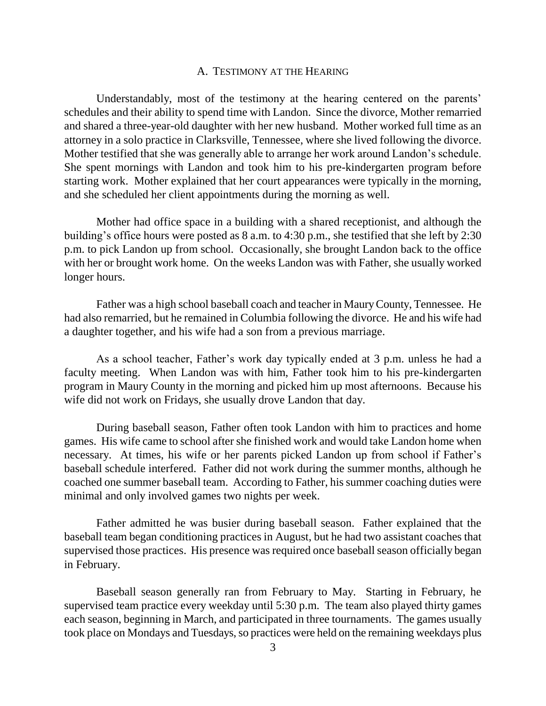#### A. TESTIMONY AT THE HEARING

Understandably, most of the testimony at the hearing centered on the parents' schedules and their ability to spend time with Landon. Since the divorce, Mother remarried and shared a three-year-old daughter with her new husband. Mother worked full time as an attorney in a solo practice in Clarksville, Tennessee, where she lived following the divorce. Mother testified that she was generally able to arrange her work around Landon"s schedule. She spent mornings with Landon and took him to his pre-kindergarten program before starting work. Mother explained that her court appearances were typically in the morning, and she scheduled her client appointments during the morning as well.

Mother had office space in a building with a shared receptionist, and although the building's office hours were posted as 8 a.m. to 4:30 p.m., she testified that she left by 2:30 p.m. to pick Landon up from school. Occasionally, she brought Landon back to the office with her or brought work home. On the weeks Landon was with Father, she usually worked longer hours.

Father was a high school baseball coach and teacher in Maury County, Tennessee. He had also remarried, but he remained in Columbia following the divorce. He and his wife had a daughter together, and his wife had a son from a previous marriage.

As a school teacher, Father"s work day typically ended at 3 p.m. unless he had a faculty meeting. When Landon was with him, Father took him to his pre-kindergarten program in Maury County in the morning and picked him up most afternoons. Because his wife did not work on Fridays, she usually drove Landon that day.

During baseball season, Father often took Landon with him to practices and home games. His wife came to school after she finished work and would take Landon home when necessary. At times, his wife or her parents picked Landon up from school if Father"s baseball schedule interfered. Father did not work during the summer months, although he coached one summer baseball team. According to Father, his summer coaching duties were minimal and only involved games two nights per week.

Father admitted he was busier during baseball season. Father explained that the baseball team began conditioning practices in August, but he had two assistant coaches that supervised those practices. His presence was required once baseball season officially began in February.

Baseball season generally ran from February to May. Starting in February, he supervised team practice every weekday until 5:30 p.m. The team also played thirty games each season, beginning in March, and participated in three tournaments. The games usually took place on Mondays and Tuesdays, so practices were held on the remaining weekdays plus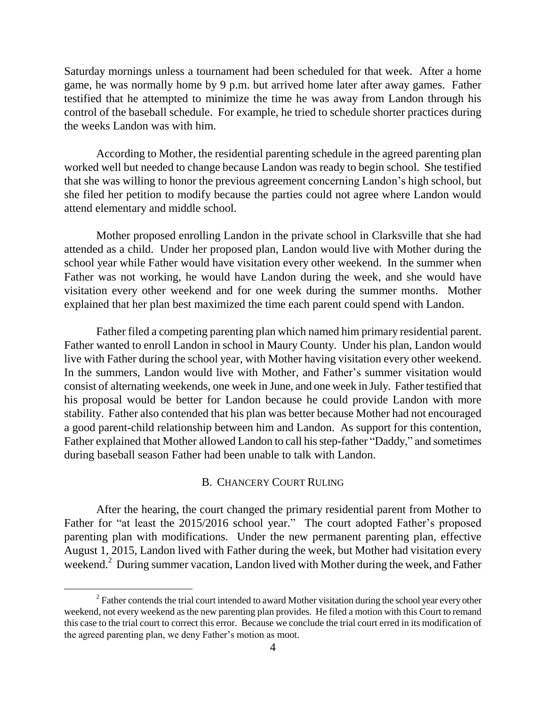Saturday mornings unless a tournament had been scheduled for that week. After a home game, he was normally home by 9 p.m. but arrived home later after away games. Father testified that he attempted to minimize the time he was away from Landon through his control of the baseball schedule. For example, he tried to schedule shorter practices during the weeks Landon was with him.

According to Mother, the residential parenting schedule in the agreed parenting plan worked well but needed to change because Landon was ready to begin school. She testified that she was willing to honor the previous agreement concerning Landon"s high school, but she filed her petition to modify because the parties could not agree where Landon would attend elementary and middle school.

Mother proposed enrolling Landon in the private school in Clarksville that she had attended as a child. Under her proposed plan, Landon would live with Mother during the school year while Father would have visitation every other weekend. In the summer when Father was not working, he would have Landon during the week, and she would have visitation every other weekend and for one week during the summer months. Mother explained that her plan best maximized the time each parent could spend with Landon.

Father filed a competing parenting plan which named him primary residential parent. Father wanted to enroll Landon in school in Maury County. Under his plan, Landon would live with Father during the school year, with Mother having visitation every other weekend. In the summers, Landon would live with Mother, and Father"s summer visitation would consist of alternating weekends, one week in June, and one week in July. Father testified that his proposal would be better for Landon because he could provide Landon with more stability. Father also contended that his plan was better because Mother had not encouraged a good parent-child relationship between him and Landon. As support for this contention, Father explained that Mother allowed Landon to call his step-father "Daddy," and sometimes during baseball season Father had been unable to talk with Landon.

### B. CHANCERY COURT RULING

After the hearing, the court changed the primary residential parent from Mother to Father for "at least the 2015/2016 school year." The court adopted Father's proposed parenting plan with modifications. Under the new permanent parenting plan, effective August 1, 2015, Landon lived with Father during the week, but Mother had visitation every weekend.<sup>2</sup> During summer vacation, Landon lived with Mother during the week, and Father

 $\overline{a}$ 

 $2^2$  Father contends the trial court intended to award Mother visitation during the school year every other weekend, not every weekend as the new parenting plan provides. He filed a motion with this Court to remand this case to the trial court to correct this error. Because we conclude the trial court erred in its modification of the agreed parenting plan, we deny Father"s motion as moot.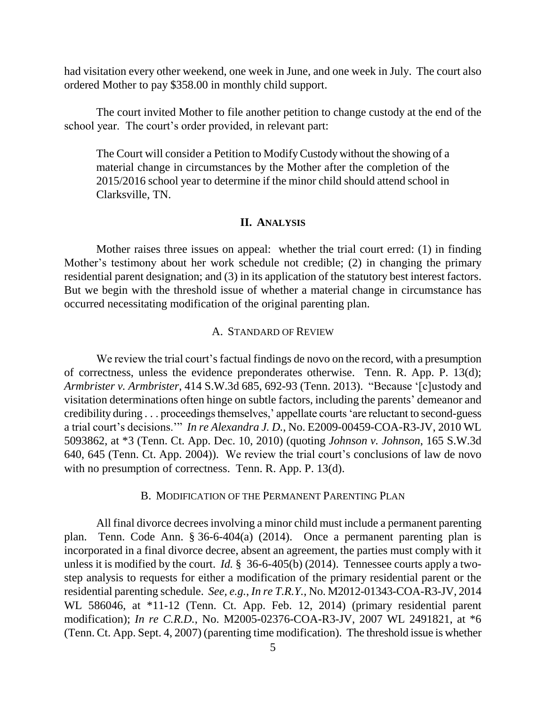had visitation every other weekend, one week in June, and one week in July. The court also ordered Mother to pay \$358.00 in monthly child support.

The court invited Mother to file another petition to change custody at the end of the school year. The court's order provided, in relevant part:

The Court will consider a Petition to ModifyCustody without the showing of a material change in circumstances by the Mother after the completion of the 2015/2016 school year to determine if the minor child should attend school in Clarksville, TN.

### **II. ANALYSIS**

Mother raises three issues on appeal: whether the trial court erred: (1) in finding Mother's testimony about her work schedule not credible; (2) in changing the primary residential parent designation; and (3) in its application of the statutory best interest factors. But we begin with the threshold issue of whether a material change in circumstance has occurred necessitating modification of the original parenting plan.

### A. STANDARD OF REVIEW

We review the trial court's factual findings de novo on the record, with a presumption of correctness, unless the evidence preponderates otherwise. Tenn. R. App. P. 13(d); *Armbrister v. Armbrister*, 414 S.W.3d 685, 692-93 (Tenn. 2013). "Because "[c]ustody and visitation determinations often hinge on subtle factors, including the parents" demeanor and credibility during . . . proceedings themselves," appellate courts "are reluctant to second-guess a trial court"s decisions."" *In re Alexandra J. D.*, No. E2009-00459-COA-R3-JV, 2010 WL 5093862, at \*3 (Tenn. Ct. App. Dec. 10, 2010) (quoting *Johnson v. Johnson*, 165 S.W.3d 640, 645 (Tenn. Ct. App. 2004)). We review the trial court's conclusions of law de novo with no presumption of correctness. Tenn. R. App. P. 13(d).

### B. MODIFICATION OF THE PERMANENT PARENTING PLAN

All final divorce decrees involving a minor child must include a permanent parenting plan. Tenn. Code Ann. § 36-6-404(a) (2014). Once a permanent parenting plan is incorporated in a final divorce decree, absent an agreement, the parties must comply with it unless it is modified by the court. *Id.* § 36-6-405(b) (2014). Tennessee courts apply a twostep analysis to requests for either a modification of the primary residential parent or the residential parenting schedule. *See, e.g.*, *In re T.R.Y.*, No. M2012-01343-COA-R3-JV, 2014 WL 586046, at \*11-12 (Tenn. Ct. App. Feb. 12, 2014) (primary residential parent modification); *In re C.R.D.*, No. M2005-02376-COA-R3-JV, 2007 WL 2491821, at \*6 (Tenn. Ct. App. Sept. 4, 2007) (parenting time modification). The threshold issue is whether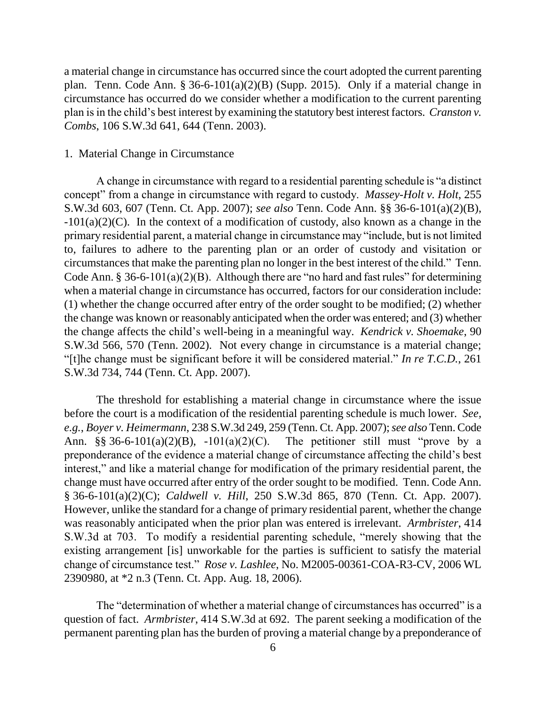a material change in circumstance has occurred since the court adopted the current parenting plan. Tenn. Code Ann. § 36-6-101(a)(2)(B) (Supp. 2015). Only if a material change in circumstance has occurred do we consider whether a modification to the current parenting plan is in the child"s best interest by examining the statutory best interest factors. *Cranston v. Combs*, 106 S.W.3d 641, 644 (Tenn. 2003).

#### 1. Material Change in Circumstance

A change in circumstance with regard to a residential parenting schedule is "a distinct concept" from a change in circumstance with regard to custody. *Massey-Holt v. Holt*, 255 S.W.3d 603, 607 (Tenn. Ct. App. 2007); *see also* Tenn. Code Ann. §§ 36-6-101(a)(2)(B),  $-101(a)(2)(C)$ . In the context of a modification of custody, also known as a change in the primary residential parent, a material change in circumstance may "include, but is not limited to, failures to adhere to the parenting plan or an order of custody and visitation or circumstances that make the parenting plan no longer in the best interest of the child." Tenn. Code Ann. § 36-6-101(a)(2)(B). Although there are "no hard and fast rules" for determining when a material change in circumstance has occurred, factors for our consideration include: (1) whether the change occurred after entry of the order sought to be modified; (2) whether the change was known or reasonably anticipated when the order was entered; and (3) whether the change affects the child"s well-being in a meaningful way. *Kendrick v. Shoemake*, 90 S.W.3d 566, 570 (Tenn. 2002). Not every change in circumstance is a material change; "[t]he change must be significant before it will be considered material." *In re T.C.D.*, 261 S.W.3d 734, 744 (Tenn. Ct. App. 2007).

The threshold for establishing a material change in circumstance where the issue before the court is a modification of the residential parenting schedule is much lower. *See, e.g.*, *Boyer v. Heimermann*, 238 S.W.3d 249, 259 (Tenn. Ct. App. 2007); *see also* Tenn. Code Ann. §§ 36-6-101(a)(2)(B), -101(a)(2)(C). The petitioner still must "prove by a preponderance of the evidence a material change of circumstance affecting the child"s best interest," and like a material change for modification of the primary residential parent, the change must have occurred after entry of the order sought to be modified. Tenn. Code Ann. § 36-6-101(a)(2)(C); *Caldwell v. Hill*, 250 S.W.3d 865, 870 (Tenn. Ct. App. 2007). However, unlike the standard for a change of primary residential parent, whether the change was reasonably anticipated when the prior plan was entered is irrelevant. *Armbrister*, 414 S.W.3d at 703. To modify a residential parenting schedule, "merely showing that the existing arrangement [is] unworkable for the parties is sufficient to satisfy the material change of circumstance test." *Rose v. Lashlee*, No. M2005-00361-COA-R3-CV, 2006 WL 2390980, at \*2 n.3 (Tenn. Ct. App. Aug. 18, 2006).

The "determination of whether a material change of circumstances has occurred" is a question of fact. *Armbrister*, 414 S.W.3d at 692. The parent seeking a modification of the permanent parenting plan has the burden of proving a material change by a preponderance of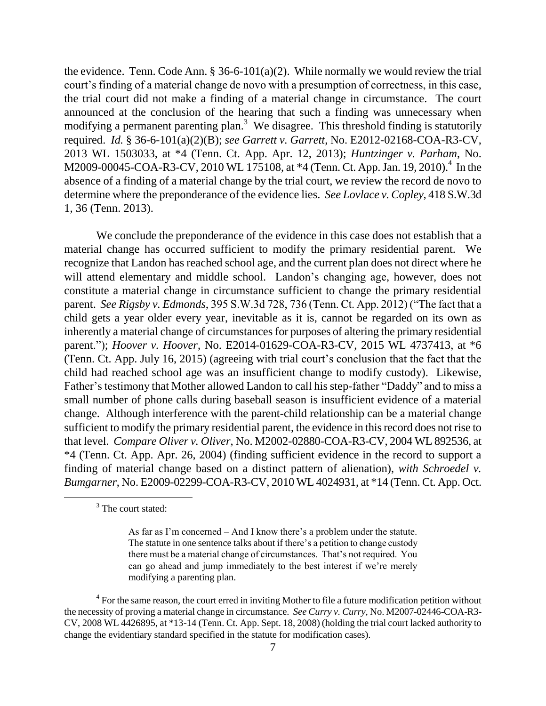the evidence. Tenn. Code Ann.  $\S 36-6-101(a)(2)$ . While normally we would review the trial court's finding of a material change de novo with a presumption of correctness, in this case, the trial court did not make a finding of a material change in circumstance. The court announced at the conclusion of the hearing that such a finding was unnecessary when modifying a permanent parenting plan.<sup>3</sup> We disagree. This threshold finding is statutorily required. *Id.* § 36-6-101(a)(2)(B); *see Garrett v. Garrett*, No. E2012-02168-COA-R3-CV, 2013 WL 1503033, at \*4 (Tenn. Ct. App. Apr. 12, 2013); *Huntzinger v. Parham*, No. M2009-00045-COA-R3-CV, 2010 WL 175108, at \*4 (Tenn. Ct. App. Jan. 19, 2010).<sup>4</sup> In the absence of a finding of a material change by the trial court, we review the record de novo to determine where the preponderance of the evidence lies. *See Lovlace v. Copley*, 418 S.W.3d 1, 36 (Tenn. 2013).

We conclude the preponderance of the evidence in this case does not establish that a material change has occurred sufficient to modify the primary residential parent. We recognize that Landon has reached school age, and the current plan does not direct where he will attend elementary and middle school. Landon's changing age, however, does not constitute a material change in circumstance sufficient to change the primary residential parent. *See Rigsby v. Edmonds*, 395 S.W.3d 728, 736 (Tenn. Ct. App. 2012) ("The fact that a child gets a year older every year, inevitable as it is, cannot be regarded on its own as inherently a material change of circumstances for purposes of altering the primary residential parent."); *Hoover v. Hoover*, No. E2014-01629-COA-R3-CV, 2015 WL 4737413, at \*6 (Tenn. Ct. App. July 16, 2015) (agreeing with trial court's conclusion that the fact that the child had reached school age was an insufficient change to modify custody). Likewise, Father's testimony that Mother allowed Landon to call his step-father "Daddy" and to miss a small number of phone calls during baseball season is insufficient evidence of a material change. Although interference with the parent-child relationship can be a material change sufficient to modify the primary residential parent, the evidence in this record does not rise to that level. *Compare Oliver v. Oliver*, No. M2002-02880-COA-R3-CV, 2004 WL 892536, at \*4 (Tenn. Ct. App. Apr. 26, 2004) (finding sufficient evidence in the record to support a finding of material change based on a distinct pattern of alienation), *with Schroedel v. Bumgarner*, No. E2009-02299-COA-R3-CV, 2010 WL 4024931, at \*14 (Tenn. Ct. App. Oct.

 $\overline{a}$ 

<sup>&</sup>lt;sup>3</sup> The court stated:

As far as I'm concerned – And I know there's a problem under the statute. The statute in one sentence talks about if there"s a petition to change custody there must be a material change of circumstances. That"s not required. You can go ahead and jump immediately to the best interest if we"re merely modifying a parenting plan.

<sup>&</sup>lt;sup>4</sup> For the same reason, the court erred in inviting Mother to file a future modification petition without the necessity of proving a material change in circumstance. *See Curry v. Curry*, No. M2007-02446-COA-R3- CV, 2008 WL 4426895, at \*13-14 (Tenn. Ct. App. Sept. 18, 2008) (holding the trial court lacked authority to change the evidentiary standard specified in the statute for modification cases).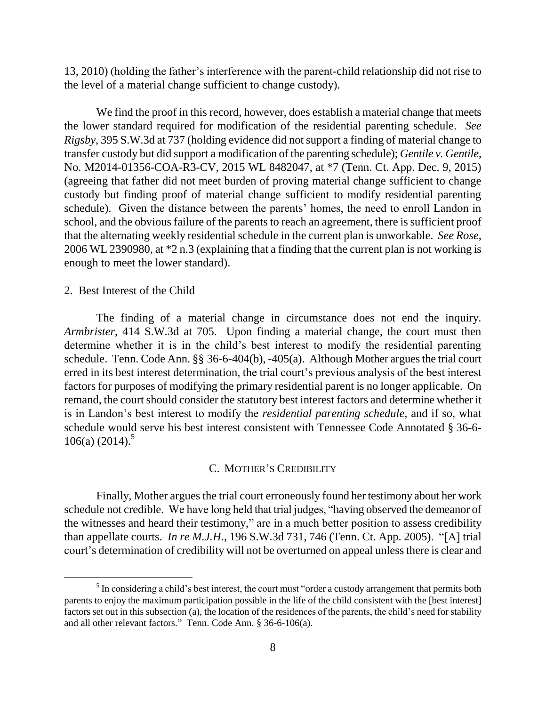13, 2010) (holding the father"s interference with the parent-child relationship did not rise to the level of a material change sufficient to change custody).

We find the proof in this record, however, does establish a material change that meets the lower standard required for modification of the residential parenting schedule. *See Rigsby*, 395 S.W.3d at 737 (holding evidence did not support a finding of material change to transfer custody but did support a modification of the parenting schedule); *Gentile v. Gentile*, No. M2014-01356-COA-R3-CV, 2015 WL 8482047, at \*7 (Tenn. Ct. App. Dec. 9, 2015) (agreeing that father did not meet burden of proving material change sufficient to change custody but finding proof of material change sufficient to modify residential parenting schedule). Given the distance between the parents' homes, the need to enroll Landon in school, and the obvious failure of the parents to reach an agreement, there is sufficient proof that the alternating weekly residential schedule in the current plan is unworkable. *See Rose*, 2006 WL 2390980, at \*2 n.3 (explaining that a finding that the current plan is not working is enough to meet the lower standard).

#### 2. Best Interest of the Child

The finding of a material change in circumstance does not end the inquiry. *Armbrister*, 414 S.W.3d at 705. Upon finding a material change, the court must then determine whether it is in the child"s best interest to modify the residential parenting schedule. Tenn. Code Ann. §§ 36-6-404(b), -405(a). Although Mother argues the trial court erred in its best interest determination, the trial court's previous analysis of the best interest factors for purposes of modifying the primary residential parent is no longer applicable. On remand, the court should consider the statutory best interest factors and determine whether it is in Landon"s best interest to modify the *residential parenting schedule*, and if so, what schedule would serve his best interest consistent with Tennessee Code Annotated § 36-6- 106(a)  $(2014)^5$ 

### C. MOTHER"S CREDIBILITY

Finally, Mother argues the trial court erroneously found her testimony about her work schedule not credible. We have long held that trial judges, "having observed the demeanor of the witnesses and heard their testimony," are in a much better position to assess credibility than appellate courts. *In re M.J.H.*, 196 S.W.3d 731, 746 (Tenn. Ct. App. 2005). "[A] trial court"s determination of credibility will not be overturned on appeal unless there is clear and

 $<sup>5</sup>$  In considering a child's best interest, the court must "order a custody arrangement that permits both</sup> parents to enjoy the maximum participation possible in the life of the child consistent with the [best interest] factors set out in this subsection (a), the location of the residences of the parents, the child"s need for stability and all other relevant factors." Tenn. Code Ann. § 36-6-106(a).